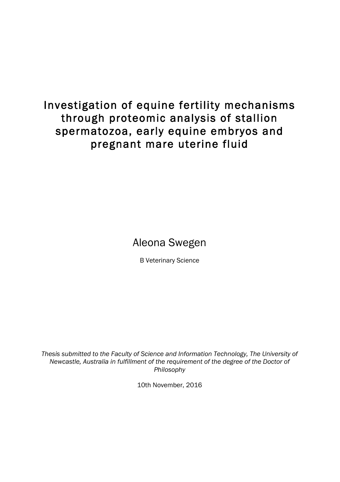# Investigation of equine fertility mechanisms through proteomic analysis of stallion spermatozoa, early equine embryos and pregnant mare uterine fluid

# Aleona Swegen

B Veterinary Science

*Thesis submitted to the Faculty of Science and Information Technology, The University of Newcastle, Australia in fulfillment of the requirement of the degree of the Doctor of Philosophy*

10th November, 2016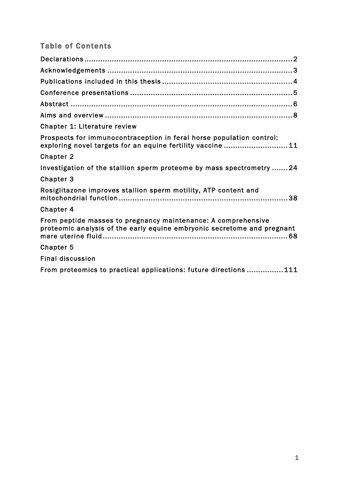## Table of Contents

| <b>Chapter 1: Literature review</b>                                                                                                      |
|------------------------------------------------------------------------------------------------------------------------------------------|
| Prospects for immunocontraception in feral horse population control:<br>exploring novel targets for an equine fertility vaccine 11       |
| Chapter 2                                                                                                                                |
| Investigation of the stallion sperm proteome by mass spectrometry 24                                                                     |
| Chapter 3                                                                                                                                |
| Rosiglitazone improves stallion sperm motility, ATP content and                                                                          |
| Chapter 4                                                                                                                                |
| From peptide masses to pregnancy maintenance: A comprehensive<br>proteomic analysis of the early equine embryonic secretome and pregnant |
| Chapter 5                                                                                                                                |
| <b>Final discussion</b>                                                                                                                  |
| From proteomics to practical applications: future directions 111                                                                         |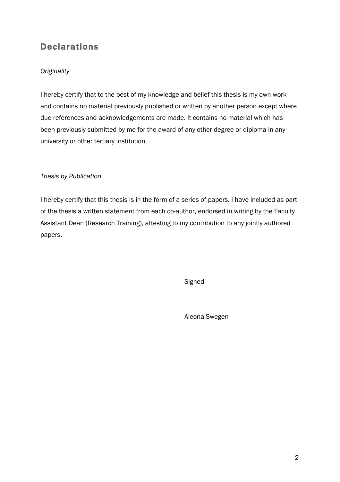# **Declarations**

### *Originality*

I hereby certify that to the best of my knowledge and belief this thesis is my own work and contains no material previously published or written by another person except where due references and acknowledgements are made. It contains no material which has been previously submitted by me for the award of any other degree or diploma in any university or other tertiary institution.

#### *Thesis by Publication*

I hereby certify that this thesis is in the form of a series of papers. I have included as part of the thesis a written statement from each co-author, endorsed in writing by the Faculty Assistant Dean (Research Training), attesting to my contribution to any jointly authored papers.

**Signed** 

Aleona Swegen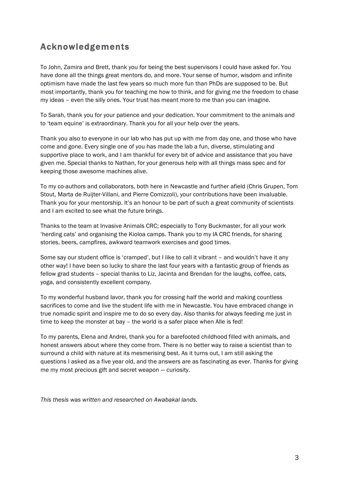# Acknowledgements

To John, Zamira and Brett, thank you for being the best supervisors I could have asked for. You have done all the things great mentors do, and more. Your sense of humor, wisdom and infinite optimism have made the last few years so much more fun than PhDs are supposed to be. But most importantly, thank you for teaching me how to think, and for giving me the freedom to chase my ideas – even the silly ones. Your trust has meant more to me than you can imagine.

To Sarah, thank you for your patience and your dedication. Your commitment to the animals and to 'team equine' is extraordinary. Thank you for all your help over the years.

Thank you also to everyone in our lab who has put up with me from day one, and those who have come and gone. Every single one of you has made the lab a fun, diverse, stimulating and supportive place to work, and I am thankful for every bit of advice and assistance that you have given me. Special thanks to Nathan, for your generous help with all things mass spec and for keeping those awesome machines alive.

To my co-authors and collaborators, both here in Newcastle and further afield (Chris Grupen, Tom Stout, Marta de Ruijter-Villani, and Pierre Comizzoli), your contributions have been invaluable. Thank you for your mentorship. It's an honour to be part of such a great community of scientists and I am excited to see what the future brings.

Thanks to the team at Invasive Animals CRC; especially to Tony Buckmaster, for all your work 'herding cats' and organising the Kioloa camps. Thank you to my IA CRC friends, for sharing stories, beers, campfires, awkward teamwork exercises and good times.

Some say our student office is 'cramped', but I like to call it vibrant – and wouldn't have it any other way! I have been so lucky to share the last four years with a fantastic group of friends as fellow grad students – special thanks to Liz, Jacinta and Brendan for the laughs, coffee, cats, yoga, and consistently excellent company.

To my wonderful husband Iavor, thank you for crossing half the world and making countless sacrifices to come and live the student life with me in Newcastle. You have embraced change in true nomadic spirit and inspire me to do so every day. Also thanks for always feeding me just in time to keep the monster at bay – the world is a safer place when Alle is fed!

To my parents, Elena and Andrei, thank you for a barefooted childhood filled with animals, and honest answers about where they come from. There is no better way to raise a scientist than to surround a child with nature at its mesmerising best. As it turns out, I am still asking the questions I asked as a five year old, and the answers are as fascinating as ever. Thanks for giving me my most precious gift and secret weapon — curiosity.

*This thesis was written and researched on Awabakal lands.*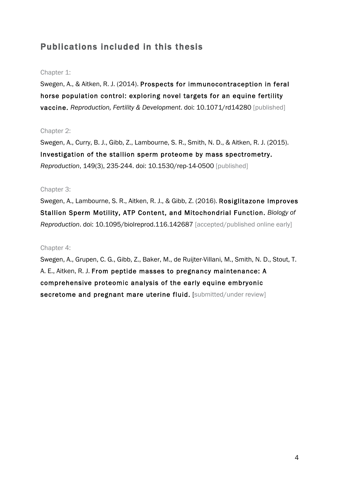# Publications included in this thesis

#### Chapter 1:

Swegen, A., & Aitken, R. J. (2014). Prospects for immunocontraception in feral horse population control: exploring novel targets for an equine fertility vaccine. *Reproduction, Fertility & Development*. doi: 10.1071/rd14280 [published]

#### Chapter 2:

Swegen, A., Curry, B. J., Gibb, Z., Lambourne, S. R., Smith, N. D., & Aitken, R. J. (2015). Investigation of the stallion sperm proteome by mass spectrometry. *Reproduction*, 149(3), 235-244. doi: 10.1530/rep-14-0500 [published]

#### Chapter 3:

Swegen, A., Lambourne, S. R., Aitken, R. J., & Gibb, Z. (2016). Rosiglitazone Improves Stallion Sperm Motility, ATP Content, and Mitochondrial Function. *Biology of Reproduction*. doi: 10.1095/biolreprod.116.142687 [accepted/published online early]

#### Chapter 4:

Swegen, A., Grupen, C. G., Gibb, Z., Baker, M., de Ruijter-Villani, M., Smith, N. D., Stout, T. A. E., Aitken, R. J. From peptide masses to pregnancy maintenance: A comprehensive proteomic analysis of the early equine embryonic secretome and pregnant mare uterine fluid. [submitted/under review]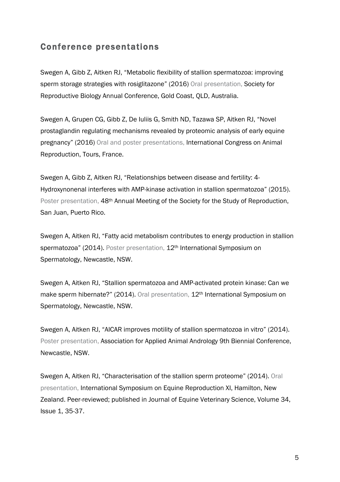### Conference presentations

Swegen A, Gibb Z, Aitken RJ, "Metabolic flexibility of stallion spermatozoa: improving sperm storage strategies with rosiglitazone" (2016) Oral presentation, Society for Reproductive Biology Annual Conference, Gold Coast, QLD, Australia.

Swegen A, Grupen CG, Gibb Z, De Iuliis G, Smith ND, Tazawa SP, Aitken RJ, "Novel prostaglandin regulating mechanisms revealed by proteomic analysis of early equine pregnancy" (2016) Oral and poster presentations, International Congress on Animal Reproduction, Tours, France.

Swegen A, Gibb Z, Aitken RJ, "Relationships between disease and fertility: 4- Hydroxynonenal interferes with AMP-kinase activation in stallion spermatozoa" (2015). Poster presentation, 48th Annual Meeting of the Society for the Study of Reproduction, San Juan, Puerto Rico.

Swegen A, Aitken RJ, "Fatty acid metabolism contributes to energy production in stallion spermatozoa" (2014). Poster presentation, 12<sup>th</sup> International Symposium on Spermatology, Newcastle, NSW.

Swegen A, Aitken RJ, "Stallion spermatozoa and AMP-activated protein kinase: Can we make sperm hibernate?" (2014). Oral presentation, 12<sup>th</sup> International Symposium on Spermatology, Newcastle, NSW.

Swegen A, Aitken RJ, "AICAR improves motility of stallion spermatozoa in vitro" (2014). Poster presentation, Association for Applied Animal Andrology 9th Biennial Conference, Newcastle, NSW.

Swegen A, Aitken RJ, "Characterisation of the stallion sperm proteome" (2014). Oral presentation, International Symposium on Equine Reproduction XI, Hamilton, New Zealand. Peer-reviewed; published in Journal of Equine Veterinary Science, Volume 34, Issue 1, 35-37.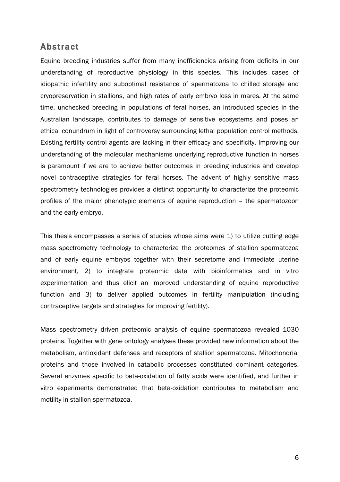### Abstract

Equine breeding industries suffer from many inefficiencies arising from deficits in our understanding of reproductive physiology in this species. This includes cases of idiopathic infertility and suboptimal resistance of spermatozoa to chilled storage and cryopreservation in stallions, and high rates of early embryo loss in mares. At the same time, unchecked breeding in populations of feral horses, an introduced species in the Australian landscape, contributes to damage of sensitive ecosystems and poses an ethical conundrum in light of controversy surrounding lethal population control methods. Existing fertility control agents are lacking in their efficacy and specificity. Improving our understanding of the molecular mechanisms underlying reproductive function in horses is paramount if we are to achieve better outcomes in breeding industries and develop novel contraceptive strategies for feral horses. The advent of highly sensitive mass spectrometry technologies provides a distinct opportunity to characterize the proteomic profiles of the major phenotypic elements of equine reproduction – the spermatozoon and the early embryo.

This thesis encompasses a series of studies whose aims were 1) to utilize cutting edge mass spectrometry technology to characterize the proteomes of stallion spermatozoa and of early equine embryos together with their secretome and immediate uterine environment, 2) to integrate proteomic data with bioinformatics and in vitro experimentation and thus elicit an improved understanding of equine reproductive function and 3) to deliver applied outcomes in fertility manipulation (including contraceptive targets and strategies for improving fertility).

Mass spectrometry driven proteomic analysis of equine spermatozoa revealed 1030 proteins. Together with gene ontology analyses these provided new information about the metabolism, antioxidant defenses and receptors of stallion spermatozoa. Mitochondrial proteins and those involved in catabolic processes constituted dominant categories. Several enzymes specific to beta-oxidation of fatty acids were identified, and further in vitro experiments demonstrated that beta-oxidation contributes to metabolism and motility in stallion spermatozoa.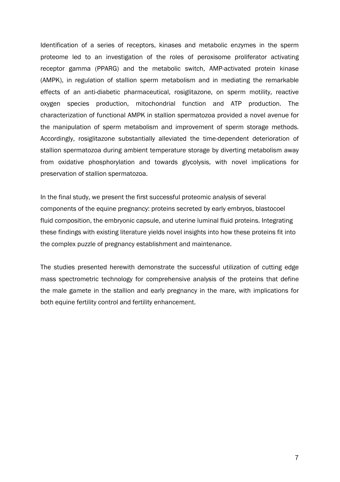Identification of a series of receptors, kinases and metabolic enzymes in the sperm proteome led to an investigation of the roles of peroxisome proliferator activating receptor gamma (PPARG) and the metabolic switch, AMP-activated protein kinase (AMPK), in regulation of stallion sperm metabolism and in mediating the remarkable effects of an anti-diabetic pharmaceutical, rosiglitazone, on sperm motility, reactive oxygen species production, mitochondrial function and ATP production. The characterization of functional AMPK in stallion spermatozoa provided a novel avenue for the manipulation of sperm metabolism and improvement of sperm storage methods. Accordingly, rosiglitazone substantially alleviated the time-dependent deterioration of stallion spermatozoa during ambient temperature storage by diverting metabolism away from oxidative phosphorylation and towards glycolysis, with novel implications for preservation of stallion spermatozoa.

In the final study, we present the first successful proteomic analysis of several components of the equine pregnancy: proteins secreted by early embryos, blastocoel fluid composition, the embryonic capsule, and uterine luminal fluid proteins. Integrating these findings with existing literature yields novel insights into how these proteins fit into the complex puzzle of pregnancy establishment and maintenance.

The studies presented herewith demonstrate the successful utilization of cutting edge mass spectrometric technology for comprehensive analysis of the proteins that define the male gamete in the stallion and early pregnancy in the mare, with implications for both equine fertility control and fertility enhancement.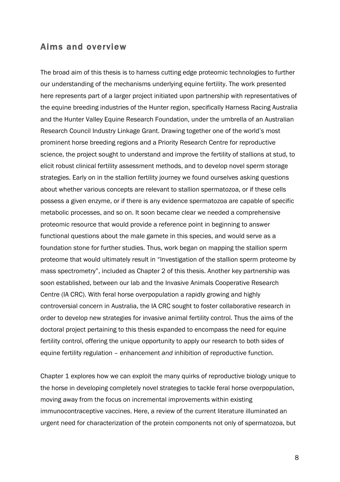### Aims and overview

The broad aim of this thesis is to harness cutting edge proteomic technologies to further our understanding of the mechanisms underlying equine fertility. The work presented here represents part of a larger project initiated upon partnership with representatives of the equine breeding industries of the Hunter region, specifically Harness Racing Australia and the Hunter Valley Equine Research Foundation, under the umbrella of an Australian Research Council Industry Linkage Grant. Drawing together one of the world's most prominent horse breeding regions and a Priority Research Centre for reproductive science, the project sought to understand and improve the fertility of stallions at stud, to elicit robust clinical fertility assessment methods, and to develop novel sperm storage strategies. Early on in the stallion fertility journey we found ourselves asking questions about whether various concepts are relevant to stallion spermatozoa, or if these cells possess a given enzyme, or if there is any evidence spermatozoa are capable of specific metabolic processes, and so on. It soon became clear we needed a comprehensive proteomic resource that would provide a reference point in beginning to answer functional questions about the male gamete in this species, and would serve as a foundation stone for further studies. Thus, work began on mapping the stallion sperm proteome that would ultimately result in "Investigation of the stallion sperm proteome by mass spectrometry", included as Chapter 2 of this thesis. Another key partnership was soon established, between our lab and the Invasive Animals Cooperative Research Centre (IA CRC). With feral horse overpopulation a rapidly growing and highly controversial concern in Australia, the IA CRC sought to foster collaborative research in order to develop new strategies for invasive animal fertility control. Thus the aims of the doctoral project pertaining to this thesis expanded to encompass the need for equine fertility control, offering the unique opportunity to apply our research to both sides of equine fertility regulation – enhancement *and* inhibition of reproductive function.

Chapter 1 explores how we can exploit the many quirks of reproductive biology unique to the horse in developing completely novel strategies to tackle feral horse overpopulation, moving away from the focus on incremental improvements within existing immunocontraceptive vaccines. Here, a review of the current literature illuminated an urgent need for characterization of the protein components not only of spermatozoa, but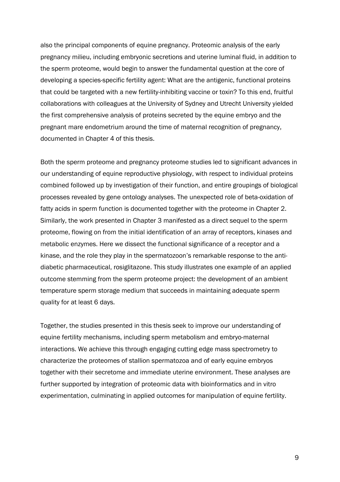also the principal components of equine pregnancy. Proteomic analysis of the early pregnancy milieu, including embryonic secretions and uterine luminal fluid, in addition to the sperm proteome, would begin to answer the fundamental question at the core of developing a species-specific fertility agent: What are the antigenic, functional proteins that could be targeted with a new fertility-inhibiting vaccine or toxin? To this end, fruitful collaborations with colleagues at the University of Sydney and Utrecht University yielded the first comprehensive analysis of proteins secreted by the equine embryo and the pregnant mare endometrium around the time of maternal recognition of pregnancy, documented in Chapter 4 of this thesis.

Both the sperm proteome and pregnancy proteome studies led to significant advances in our understanding of equine reproductive physiology, with respect to individual proteins combined followed up by investigation of their function, and entire groupings of biological processes revealed by gene ontology analyses. The unexpected role of beta-oxidation of fatty acids in sperm function is documented together with the proteome in Chapter 2. Similarly, the work presented in Chapter 3 manifested as a direct sequel to the sperm proteome, flowing on from the initial identification of an array of receptors, kinases and metabolic enzymes. Here we dissect the functional significance of a receptor and a kinase, and the role they play in the spermatozoon's remarkable response to the antidiabetic pharmaceutical, rosiglitazone. This study illustrates one example of an applied outcome stemming from the sperm proteome project: the development of an ambient temperature sperm storage medium that succeeds in maintaining adequate sperm quality for at least 6 days.

Together, the studies presented in this thesis seek to improve our understanding of equine fertility mechanisms, including sperm metabolism and embryo-maternal interactions. We achieve this through engaging cutting edge mass spectrometry to characterize the proteomes of stallion spermatozoa and of early equine embryos together with their secretome and immediate uterine environment. These analyses are further supported by integration of proteomic data with bioinformatics and in vitro experimentation, culminating in applied outcomes for manipulation of equine fertility.